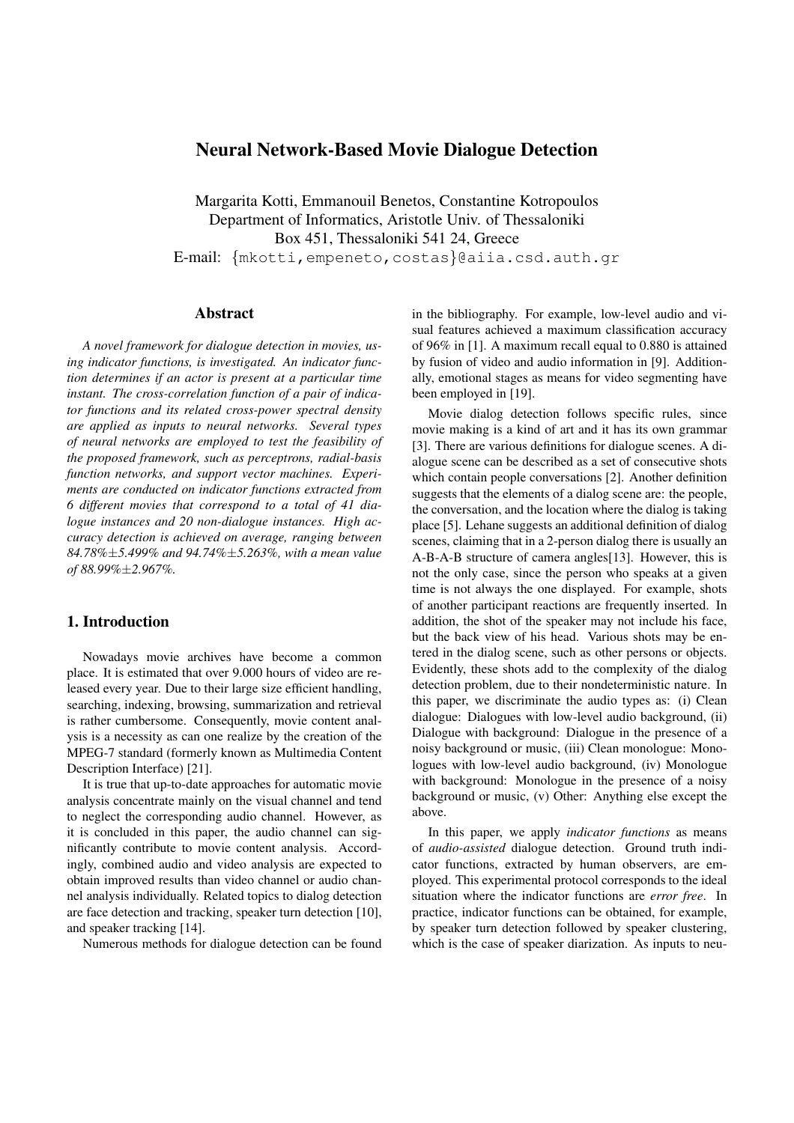# **Neural Network-Based Movie Dialogue Detection**

Margarita Kotti, Emmanouil Benetos, Constantine Kotropoulos Department of Informatics, Aristotle Univ. of Thessaloniki Box 451, Thessaloniki 541 24, Greece E-mail: {mkotti,empeneto,costas}@aiia.csd.auth.gr

## **Abstract**

*A novel framework for dialogue detection in movies, using indicator functions, is investigated. An indicator function determines if an actor is present at a particular time instant. The cross-correlation function of a pair of indicator functions and its related cross-power spectral density are applied as inputs to neural networks. Several types of neural networks are employed to test the feasibility of the proposed framework, such as perceptrons, radial-basis function networks, and support vector machines. Experiments are conducted on indicator functions extracted from 6 different movies that correspond to a total of 41 dialogue instances and 20 non-dialogue instances. High accuracy detection is achieved on average, ranging between 84.78%*±*5.499% and 94.74%*±*5.263%, with a mean value of 88.99%*±*2.967%.*

## **1. Introduction**

Nowadays movie archives have become a common place. It is estimated that over 9.000 hours of video are released every year. Due to their large size efficient handling, searching, indexing, browsing, summarization and retrieval is rather cumbersome. Consequently, movie content analysis is a necessity as can one realize by the creation of the MPEG-7 standard (formerly known as Multimedia Content Description Interface) [21].

It is true that up-to-date approaches for automatic movie analysis concentrate mainly on the visual channel and tend to neglect the corresponding audio channel. However, as it is concluded in this paper, the audio channel can significantly contribute to movie content analysis. Accordingly, combined audio and video analysis are expected to obtain improved results than video channel or audio channel analysis individually. Related topics to dialog detection are face detection and tracking, speaker turn detection [10], and speaker tracking [14].

Numerous methods for dialogue detection can be found

in the bibliography. For example, low-level audio and visual features achieved a maximum classification accuracy of 96% in [1]. A maximum recall equal to 0.880 is attained by fusion of video and audio information in [9]. Additionally, emotional stages as means for video segmenting have been employed in [19].

Movie dialog detection follows specific rules, since movie making is a kind of art and it has its own grammar [3]. There are various definitions for dialogue scenes. A dialogue scene can be described as a set of consecutive shots which contain people conversations [2]. Another definition suggests that the elements of a dialog scene are: the people, the conversation, and the location where the dialog is taking place [5]. Lehane suggests an additional definition of dialog scenes, claiming that in a 2-person dialog there is usually an A-B-A-B structure of camera angles[13]. However, this is not the only case, since the person who speaks at a given time is not always the one displayed. For example, shots of another participant reactions are frequently inserted. In addition, the shot of the speaker may not include his face, but the back view of his head. Various shots may be entered in the dialog scene, such as other persons or objects. Evidently, these shots add to the complexity of the dialog detection problem, due to their nondeterministic nature. In this paper, we discriminate the audio types as: (i) Clean dialogue: Dialogues with low-level audio background, (ii) Dialogue with background: Dialogue in the presence of a noisy background or music, (iii) Clean monologue: Monologues with low-level audio background, (iv) Monologue with background: Monologue in the presence of a noisy background or music, (v) Other: Anything else except the above.

In this paper, we apply *indicator functions* as means of *audio-assisted* dialogue detection. Ground truth indicator functions, extracted by human observers, are employed. This experimental protocol corresponds to the ideal situation where the indicator functions are *error free*. In practice, indicator functions can be obtained, for example, by speaker turn detection followed by speaker clustering, which is the case of speaker diarization. As inputs to neu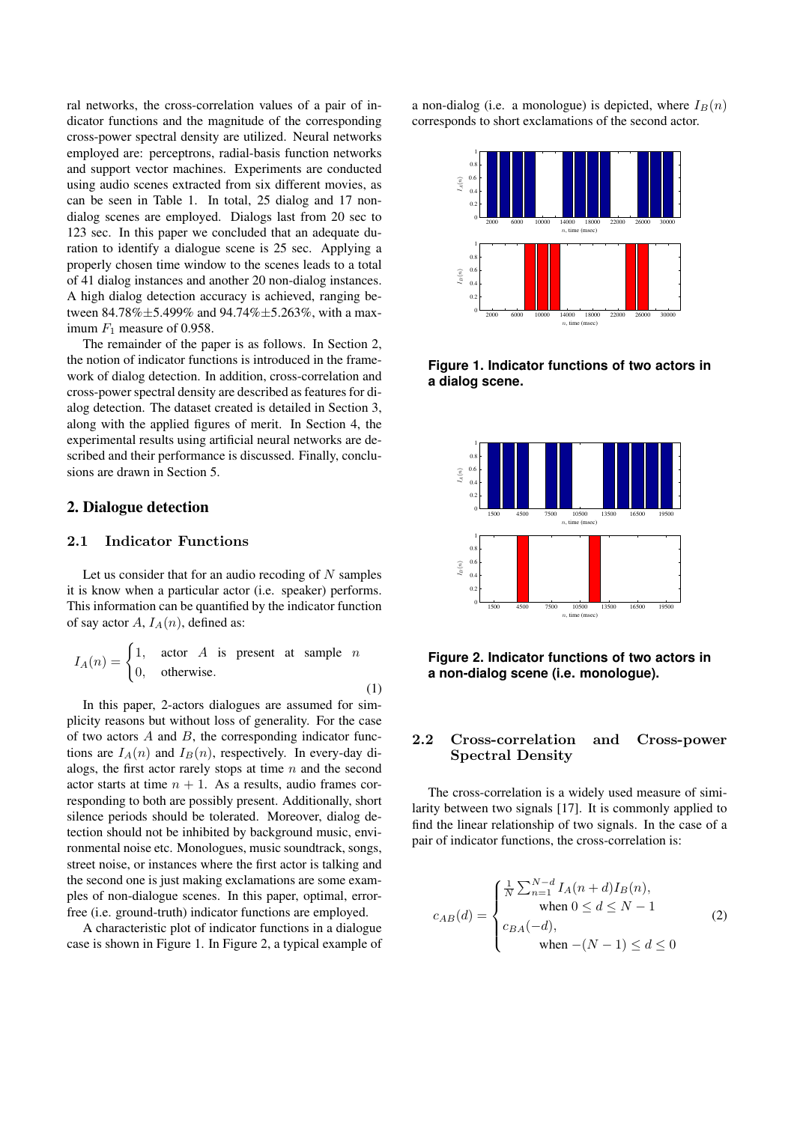ral networks, the cross-correlation values of a pair of indicator functions and the magnitude of the corresponding cross-power spectral density are utilized. Neural networks employed are: perceptrons, radial-basis function networks and support vector machines. Experiments are conducted using audio scenes extracted from six different movies, as can be seen in Table 1. In total, 25 dialog and 17 nondialog scenes are employed. Dialogs last from 20 sec to 123 sec. In this paper we concluded that an adequate duration to identify a dialogue scene is 25 sec. Applying a properly chosen time window to the scenes leads to a total of 41 dialog instances and another 20 non-dialog instances. A high dialog detection accuracy is achieved, ranging between 84.78% $\pm$ 5.499% and 94.74% $\pm$ 5.263%, with a maximum  $F_1$  measure of 0.958.

The remainder of the paper is as follows. In Section 2, the notion of indicator functions is introduced in the framework of dialog detection. In addition, cross-correlation and cross-power spectral density are described as features for dialog detection. The dataset created is detailed in Section 3, along with the applied figures of merit. In Section 4, the experimental results using artificial neural networks are described and their performance is discussed. Finally, conclusions are drawn in Section 5.

### **2. Dialogue detection**

## 2.1 Indicator Functions

Let us consider that for an audio recoding of  $N$  samples it is know when a particular actor (i.e. speaker) performs. This information can be quantified by the indicator function of say actor A,  $I_A(n)$ , defined as:

$$
I_A(n) = \begin{cases} 1, & \text{actor } A \text{ is present at sample } n \\ 0, & \text{otherwise.} \end{cases}
$$

(1)

In this paper, 2-actors dialogues are assumed for simplicity reasons but without loss of generality. For the case of two actors  $A$  and  $B$ , the corresponding indicator functions are  $I_A(n)$  and  $I_B(n)$ , respectively. In every-day dialogs, the first actor rarely stops at time  $n$  and the second actor starts at time  $n + 1$ . As a results, audio frames corresponding to both are possibly present. Additionally, short silence periods should be tolerated. Moreover, dialog detection should not be inhibited by background music, environmental noise etc. Monologues, music soundtrack, songs, street noise, or instances where the first actor is talking and the second one is just making exclamations are some examples of non-dialogue scenes. In this paper, optimal, errorfree (i.e. ground-truth) indicator functions are employed.

A characteristic plot of indicator functions in a dialogue case is shown in Figure 1. In Figure 2, a typical example of a non-dialog (i.e. a monologue) is depicted, where  $I_B(n)$ corresponds to short exclamations of the second actor.



**Figure 1. Indicator functions of two actors in a dialog scene.**



**Figure 2. Indicator functions of two actors in a non-dialog scene (i.e. monologue).**

## 2.2 Cross-correlation and Cross-power Spectral Density

The cross-correlation is a widely used measure of similarity between two signals [17]. It is commonly applied to find the linear relationship of two signals. In the case of a pair of indicator functions, the cross-correlation is:

$$
c_{AB}(d) = \begin{cases} \frac{1}{N} \sum_{n=1}^{N-d} I_A(n+d) I_B(n), \\ \text{when } 0 \le d \le N-1 \\ c_{BA}(-d), \\ \text{when } -(N-1) \le d \le 0 \end{cases}
$$
 (2)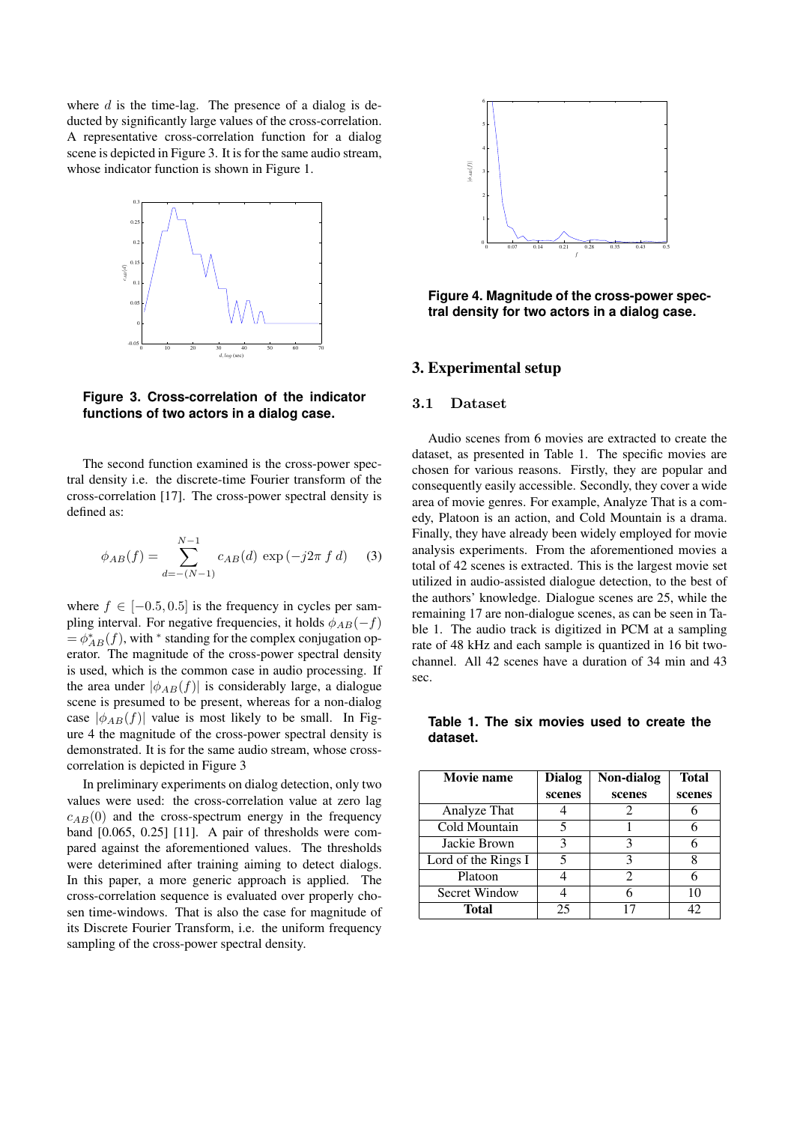where  $d$  is the time-lag. The presence of a dialog is deducted by significantly large values of the cross-correlation. A representative cross-correlation function for a dialog scene is depicted in Figure 3. It is for the same audio stream, whose indicator function is shown in Figure 1.



**Figure 3. Cross-correlation of the indicator functions of two actors in a dialog case.**

The second function examined is the cross-power spectral density i.e. the discrete-time Fourier transform of the cross-correlation [17]. The cross-power spectral density is defined as:

$$
\phi_{AB}(f) = \sum_{d=-(N-1)}^{N-1} c_{AB}(d) \exp(-j2\pi f d) \quad (3)
$$

where  $f \in [-0.5, 0.5]$  is the frequency in cycles per sampling interval. For negative frequencies, it holds  $\phi_{AB}(-f)$  $= \phi_{AB}^*(f)$ , with \* standing for the complex conjugation operator. The magnitude of the cross-power spectral density is used, which is the common case in audio processing. If the area under  $|\phi_{AB}(f)|$  is considerably large, a dialogue scene is presumed to be present, whereas for a non-dialog case  $|\phi_{AB}(f)|$  value is most likely to be small. In Figure 4 the magnitude of the cross-power spectral density is demonstrated. It is for the same audio stream, whose crosscorrelation is depicted in Figure 3

In preliminary experiments on dialog detection, only two values were used: the cross-correlation value at zero lag  $c_{AB}(0)$  and the cross-spectrum energy in the frequency band [0.065, 0.25] [11]. A pair of thresholds were compared against the aforementioned values. The thresholds were deterimined after training aiming to detect dialogs. In this paper, a more generic approach is applied. The cross-correlation sequence is evaluated over properly chosen time-windows. That is also the case for magnitude of its Discrete Fourier Transform, i.e. the uniform frequency sampling of the cross-power spectral density.



**Figure 4. Magnitude of the cross-power spectral density for two actors in a dialog case.**

### **3. Experimental setup**

#### 3.1 Dataset

Audio scenes from 6 movies are extracted to create the dataset, as presented in Table 1. The specific movies are chosen for various reasons. Firstly, they are popular and consequently easily accessible. Secondly, they cover a wide area of movie genres. For example, Analyze That is a comedy, Platoon is an action, and Cold Mountain is a drama. Finally, they have already been widely employed for movie analysis experiments. From the aforementioned movies a total of 42 scenes is extracted. This is the largest movie set utilized in audio-assisted dialogue detection, to the best of the authors' knowledge. Dialogue scenes are 25, while the remaining 17 are non-dialogue scenes, as can be seen in Table 1. The audio track is digitized in PCM at a sampling rate of 48 kHz and each sample is quantized in 16 bit twochannel. All 42 scenes have a duration of 34 min and 43 sec.

**Table 1. The six movies used to create the dataset.**

| <b>Movie name</b>   | <b>Dialog</b><br>scenes | Non-dialog<br>scenes | <b>Total</b><br>scenes |
|---------------------|-------------------------|----------------------|------------------------|
| Analyze That        |                         | 2                    |                        |
| Cold Mountain       |                         |                      |                        |
| Jackie Brown        | 3                       | 3                    |                        |
| Lord of the Rings I | 5                       | 3                    | Ω                      |
| Platoon             |                         | 2                    |                        |
| Secret Window       |                         |                      | 10                     |
| Total               | 25                      |                      | 42                     |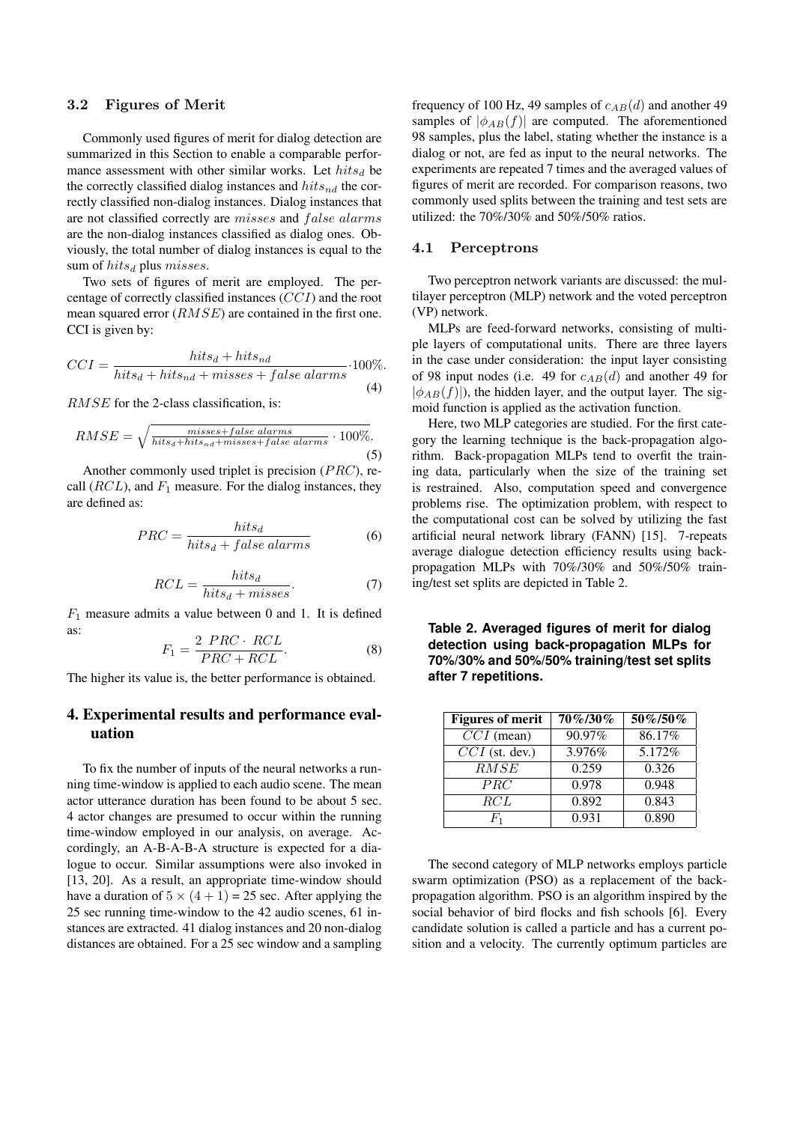#### 3.2 Figures of Merit

Commonly used figures of merit for dialog detection are summarized in this Section to enable a comparable performance assessment with other similar works. Let  $hits_d$  be the correctly classified dialog instances and  $hits_{nd}$  the correctly classified non-dialog instances. Dialog instances that are not classified correctly are misses and false alarms are the non-dialog instances classified as dialog ones. Obviously, the total number of dialog instances is equal to the sum of  $hits_d$  plus *misses*.

Two sets of figures of merit are employed. The percentage of correctly classified instances (CCI) and the root mean squared error (RMSE) are contained in the first one. CCI is given by:

$$
CCI = \frac{hits_d + hits_{nd}}{hits_d + hits_{nd} + misses + false\; alarms} \cdot 100\%.
$$
\n(4)

RMSE for the 2-class classification, is:

$$
RMSE = \sqrt{\frac{misses + false \; alarms}{hits_d + hits_{nd} + misses + false \; alarms} \cdot 100\%}.
$$
\n(5)

Another commonly used triplet is precision (PRC), recall  $(RCL)$ , and  $F_1$  measure. For the dialog instances, they are defined as:

$$
PRC = \frac{hits_d}{hits_d + false\; alarms}
$$
 (6)

$$
RCL = \frac{hits_d}{hits_d + misses}.
$$
 (7)

 $F_1$  measure admits a value between 0 and 1. It is defined as:  $2.72$ 

$$
F_1 = \frac{2 \, PRC \cdot RCL}{PRC + RCL}.\tag{8}
$$

The higher its value is, the better performance is obtained.

## **4. Experimental results and performance evaluation**

To fix the number of inputs of the neural networks a running time-window is applied to each audio scene. The mean actor utterance duration has been found to be about 5 sec. 4 actor changes are presumed to occur within the running time-window employed in our analysis, on average. Accordingly, an A-B-A-B-A structure is expected for a dialogue to occur. Similar assumptions were also invoked in [13, 20]. As a result, an appropriate time-window should have a duration of  $5 \times (4 + 1) = 25$  sec. After applying the 25 sec running time-window to the 42 audio scenes, 61 instances are extracted. 41 dialog instances and 20 non-dialog distances are obtained. For a 25 sec window and a sampling frequency of 100 Hz, 49 samples of  $c_{AB}(d)$  and another 49 samples of  $|\phi_{AB}(f)|$  are computed. The aforementioned 98 samples, plus the label, stating whether the instance is a dialog or not, are fed as input to the neural networks. The experiments are repeated 7 times and the averaged values of figures of merit are recorded. For comparison reasons, two commonly used splits between the training and test sets are utilized: the 70%/30% and 50%/50% ratios.

#### 4.1 Perceptrons

Two perceptron network variants are discussed: the multilayer perceptron (MLP) network and the voted perceptron (VP) network.

MLPs are feed-forward networks, consisting of multiple layers of computational units. There are three layers in the case under consideration: the input layer consisting of 98 input nodes (i.e. 49 for  $c_{AB}(d)$  and another 49 for  $|\phi_{AB}(f)|$ , the hidden layer, and the output layer. The sigmoid function is applied as the activation function.

Here, two MLP categories are studied. For the first category the learning technique is the back-propagation algorithm. Back-propagation MLPs tend to overfit the training data, particularly when the size of the training set is restrained. Also, computation speed and convergence problems rise. The optimization problem, with respect to the computational cost can be solved by utilizing the fast artificial neural network library (FANN) [15]. 7-repeats average dialogue detection efficiency results using backpropagation MLPs with 70%/30% and 50%/50% training/test set splits are depicted in Table 2.

**Table 2. Averaged figures of merit for dialog detection using back-propagation MLPs for 70%/30% and 50%/50% training/test set splits after 7 repetitions.**

| <b>Figures of merit</b> | 70%/30% | 50%/50% |
|-------------------------|---------|---------|
| $CCI$ (mean)            | 90.97%  | 86.17%  |
| $CCI$ (st. dev.)        | 3.976%  | 5.172%  |
| $\overline{RM}SE$       | 0.259   | 0.326   |
| PRC                     | 0.978   | 0.948   |
| RCL                     | 0.892   | 0.843   |
| Η,                      | 0.931   | 0.890   |

The second category of MLP networks employs particle swarm optimization (PSO) as a replacement of the backpropagation algorithm. PSO is an algorithm inspired by the social behavior of bird flocks and fish schools [6]. Every candidate solution is called a particle and has a current position and a velocity. The currently optimum particles are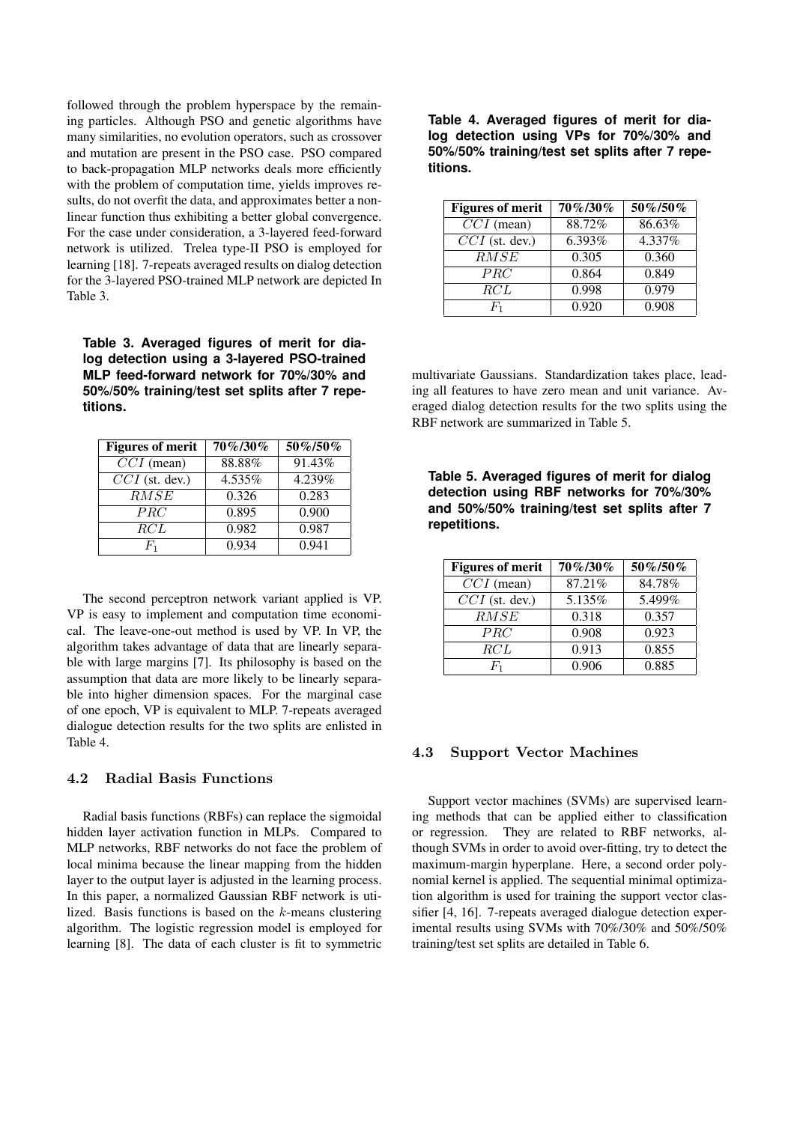followed through the problem hyperspace by the remaining particles. Although PSO and genetic algorithms have many similarities, no evolution operators, such as crossover and mutation are present in the PSO case. PSO compared to back-propagation MLP networks deals more efficiently with the problem of computation time, yields improves results, do not overfit the data, and approximates better a nonlinear function thus exhibiting a better global convergence. For the case under consideration, a 3-layered feed-forward network is utilized. Trelea type-II PSO is employed for learning [18]. 7-repeats averaged results on dialog detection for the 3-layered PSO-trained MLP network are depicted In Table 3.

**Table 3. Averaged figures of merit for dialog detection using a 3-layered PSO-trained MLP feed-forward network for 70%/30% and 50%/50% training/test set splits after 7 repetitions.**

| <b>Figures of merit</b> | 70%/30%   | 50%/50%              |
|-------------------------|-----------|----------------------|
| $CCI$ (mean)            | $88.88\%$ | $91.43\overline{\%}$ |
| $CCI$ (st. dev.)        | 4.535%    | 4.239%               |
| RMSE                    | 0.326     | 0.283                |
| PRC                     | 0.895     | 0.900                |
| RCL                     | 0.982     | 0.987                |
|                         | 0.934     | 0.941                |

The second perceptron network variant applied is VP. VP is easy to implement and computation time economical. The leave-one-out method is used by VP. In VP, the algorithm takes advantage of data that are linearly separable with large margins [7]. Its philosophy is based on the assumption that data are more likely to be linearly separable into higher dimension spaces. For the marginal case of one epoch, VP is equivalent to MLP. 7-repeats averaged dialogue detection results for the two splits are enlisted in Table 4.

## 4.2 Radial Basis Functions

Radial basis functions (RBFs) can replace the sigmoidal hidden layer activation function in MLPs. Compared to MLP networks, RBF networks do not face the problem of local minima because the linear mapping from the hidden layer to the output layer is adjusted in the learning process. In this paper, a normalized Gaussian RBF network is utilized. Basis functions is based on the k-means clustering algorithm. The logistic regression model is employed for learning [8]. The data of each cluster is fit to symmetric **Table 4. Averaged figures of merit for dialog detection using VPs for 70%/30% and 50%/50% training/test set splits after 7 repetitions.**

| <b>Figures of merit</b> | 70%/30% | 50%/50% |
|-------------------------|---------|---------|
| $CCI$ (mean)            | 88.72%  | 86.63%  |
| $CCI$ (st. dev.)        | 6.393%  | 4.337%  |
| RMSE                    | 0.305   | 0.360   |
| PRC                     | 0.864   | 0.849   |
| <i>RCL</i>              | 0.998   | 0.979   |
| $F_{1}$                 | 0.920   | 0.908   |

multivariate Gaussians. Standardization takes place, leading all features to have zero mean and unit variance. Averaged dialog detection results for the two splits using the RBF network are summarized in Table 5.

**Table 5. Averaged figures of merit for dialog detection using RBF networks for 70%/30% and 50%/50% training/test set splits after 7 repetitions.**

| <b>Figures of merit</b>     | 70%/30% | 50%/50%            |
|-----------------------------|---------|--------------------|
| $\overline{CCI}$ (mean)     | 87.21%  | 84.78%             |
| $\overline{CCI}$ (st. dev.) | 5.135%  | 5.499%             |
| $\overline{RMSE}$           | 0.318   | 0.357              |
| PRC                         | 0.908   | $\overline{0.923}$ |
| RCL                         | 0.913   | 0.855              |
| Η,                          | 0.906   | 0.885              |

### 4.3 Support Vector Machines

Support vector machines (SVMs) are supervised learning methods that can be applied either to classification or regression. They are related to RBF networks, although SVMs in order to avoid over-fitting, try to detect the maximum-margin hyperplane. Here, a second order polynomial kernel is applied. The sequential minimal optimization algorithm is used for training the support vector classifier [4, 16]. 7-repeats averaged dialogue detection experimental results using SVMs with 70%/30% and 50%/50% training/test set splits are detailed in Table 6.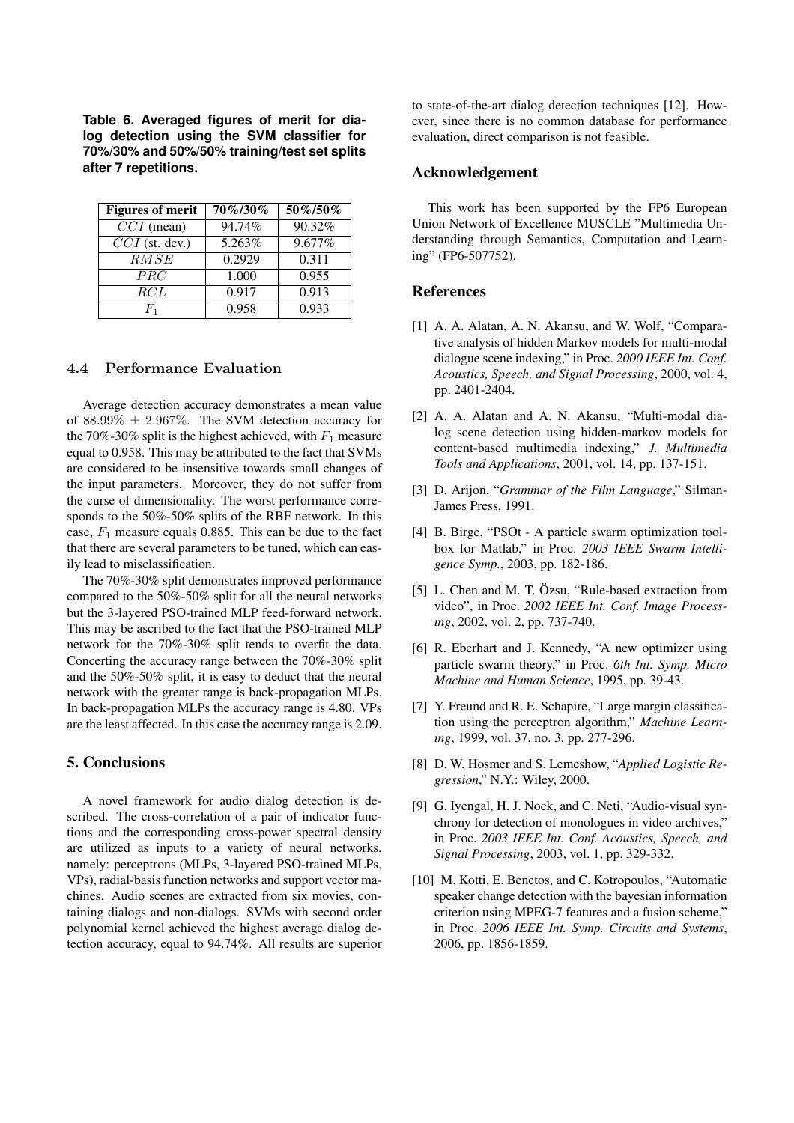**Table 6. Averaged figures of merit for dialog detection using the SVM classifier for 70%/30% and 50%/50% training/test set splits after 7 repetitions.**

| <b>Figures of merit</b> | 70%/30% | 50%/50% |
|-------------------------|---------|---------|
| $CCI$ (mean)            | 94.74%  | 90.32%  |
| $CCI$ (st. dev.)        | 5.263%  | 9.677%  |
| RMSE                    | 0.2929  | 0.311   |
| PRC                     | 1.000   | 0.955   |
| RCL                     | 0.917   | 0.913   |
| $F_{1}$                 | 0.958   | 0.933   |

### 4.4 Performance Evaluation

Average detection accuracy demonstrates a mean value of  $88.99\% \pm 2.967\%$ . The SVM detection accuracy for the 70%-30% split is the highest achieved, with  $F_1$  measure equal to 0.958. This may be attributed to the fact that SVMs are considered to be insensitive towards small changes of the input parameters. Moreover, they do not suffer from the curse of dimensionality. The worst performance corresponds to the 50%-50% splits of the RBF network. In this case,  $F_1$  measure equals 0.885. This can be due to the fact that there are several parameters to be tuned, which can easily lead to misclassification.

The 70%-30% split demonstrates improved performance compared to the 50%-50% split for all the neural networks but the 3-layered PSO-trained MLP feed-forward network. This may be ascribed to the fact that the PSO-trained MLP network for the 70%-30% split tends to overfit the data. Concerting the accuracy range between the 70%-30% split and the 50%-50% split, it is easy to deduct that the neural network with the greater range is back-propagation MLPs. In back-propagation MLPs the accuracy range is 4.80. VPs are the least affected. In this case the accuracy range is 2.09.

#### **5. Conclusions**

A novel framework for audio dialog detection is described. The cross-correlation of a pair of indicator functions and the corresponding cross-power spectral density are utilized as inputs to a variety of neural networks, namely: perceptrons (MLPs, 3-layered PSO-trained MLPs, VPs), radial-basis function networks and support vector machines. Audio scenes are extracted from six movies, containing dialogs and non-dialogs. SVMs with second order polynomial kernel achieved the highest average dialog detection accuracy, equal to 94.74%. All results are superior to state-of-the-art dialog detection techniques [12]. However, since there is no common database for performance evaluation, direct comparison is not feasible.

### **Acknowledgement**

This work has been supported by the FP6 European Union Network of Excellence MUSCLE "Multimedia Understanding through Semantics, Computation and Learning" (FP6-507752).

#### **References**

- [1] A. A. Alatan, A. N. Akansu, and W. Wolf, "Comparative analysis of hidden Markov models for multi-modal dialogue scene indexing," in Proc. *2000 IEEE Int. Conf. Acoustics, Speech, and Signal Processing*, 2000, vol. 4, pp. 2401-2404.
- [2] A. A. Alatan and A. N. Akansu, "Multi-modal dialog scene detection using hidden-markov models for content-based multimedia indexing," *J. Multimedia Tools and Applications*, 2001, vol. 14, pp. 137-151.
- [3] D. Arijon, "*Grammar of the Film Language*," Silman-James Press, 1991.
- [4] B. Birge, "PSOt A particle swarm optimization toolbox for Matlab," in Proc. *2003 IEEE Swarm Intelligence Symp.*, 2003, pp. 182-186.
- [5] L. Chen and M. T. Özsu, "Rule-based extraction from video", in Proc. *2002 IEEE Int. Conf. Image Processing*, 2002, vol. 2, pp. 737-740.
- [6] R. Eberhart and J. Kennedy, "A new optimizer using particle swarm theory," in Proc. *6th Int. Symp. Micro Machine and Human Science*, 1995, pp. 39-43.
- [7] Y. Freund and R. E. Schapire, "Large margin classification using the perceptron algorithm," *Machine Learning*, 1999, vol. 37, no. 3, pp. 277-296.
- [8] D. W. Hosmer and S. Lemeshow, "*Applied Logistic Regression*," N.Y.: Wiley, 2000.
- [9] G. Iyengal, H. J. Nock, and C. Neti, "Audio-visual synchrony for detection of monologues in video archives," in Proc. *2003 IEEE Int. Conf. Acoustics, Speech, and Signal Processing*, 2003, vol. 1, pp. 329-332.
- [10] M. Kotti, E. Benetos, and C. Kotropoulos, "Automatic speaker change detection with the bayesian information criterion using MPEG-7 features and a fusion scheme," in Proc. *2006 IEEE Int. Symp. Circuits and Systems*, 2006, pp. 1856-1859.